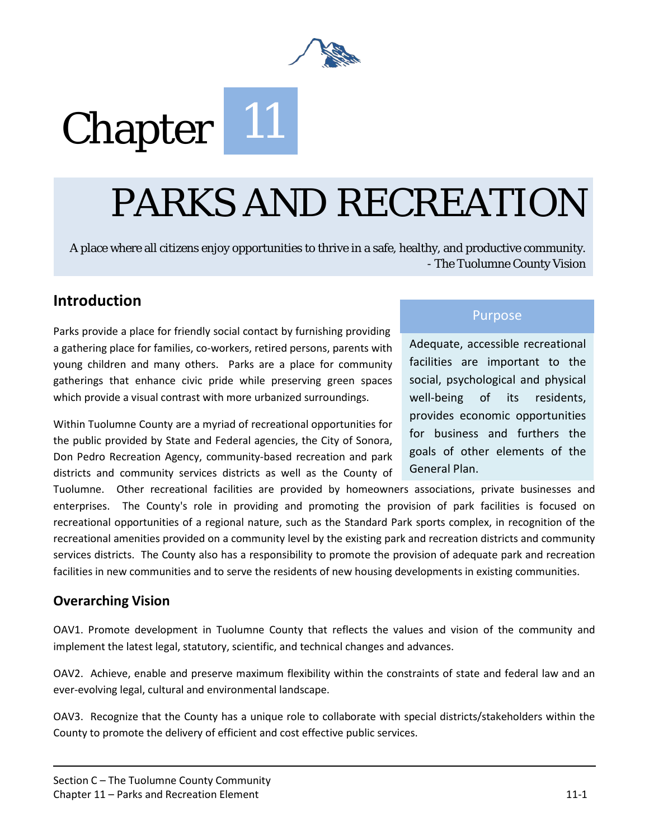

# Chapter<sup>11</sup>

## PARKS AND RECREATION

A place where all citizens enjoy opportunities to thrive in a safe, healthy, and productive community. - The Tuolumne County Vision

#### **Introduction**

Parks provide a place for friendly social contact by furnishing providing a gathering place for families, co-workers, retired persons, parents with young children and many others. Parks are a place for community gatherings that enhance civic pride while preserving green spaces which provide a visual contrast with more urbanized surroundings.

Within Tuolumne County are a myriad of recreational opportunities for the public provided by State and Federal agencies, the City of Sonora, Don Pedro Recreation Agency, community-based recreation and park districts and community services districts as well as the County of

#### Purpose

Adequate, accessible recreational facilities are important to the social, psychological and physical well-being of its residents, provides economic opportunities for business and furthers the goals of other elements of the General Plan.

Tuolumne. Other recreational facilities are provided by homeowners associations, private businesses and enterprises. The County's role in providing and promoting the provision of park facilities is focused on recreational opportunities of a regional nature, such as the Standard Park sports complex, in recognition of the recreational amenities provided on a community level by the existing park and recreation districts and community services districts. The County also has a responsibility to promote the provision of adequate park and recreation facilities in new communities and to serve the residents of new housing developments in existing communities.

#### **Overarching Vision**

OAV1. Promote development in Tuolumne County that reflects the values and vision of the community and implement the latest legal, statutory, scientific, and technical changes and advances.

OAV2. Achieve, enable and preserve maximum flexibility within the constraints of state and federal law and an ever-evolving legal, cultural and environmental landscape.

OAV3. Recognize that the County has a unique role to collaborate with special districts/stakeholders within the County to promote the delivery of efficient and cost effective public services.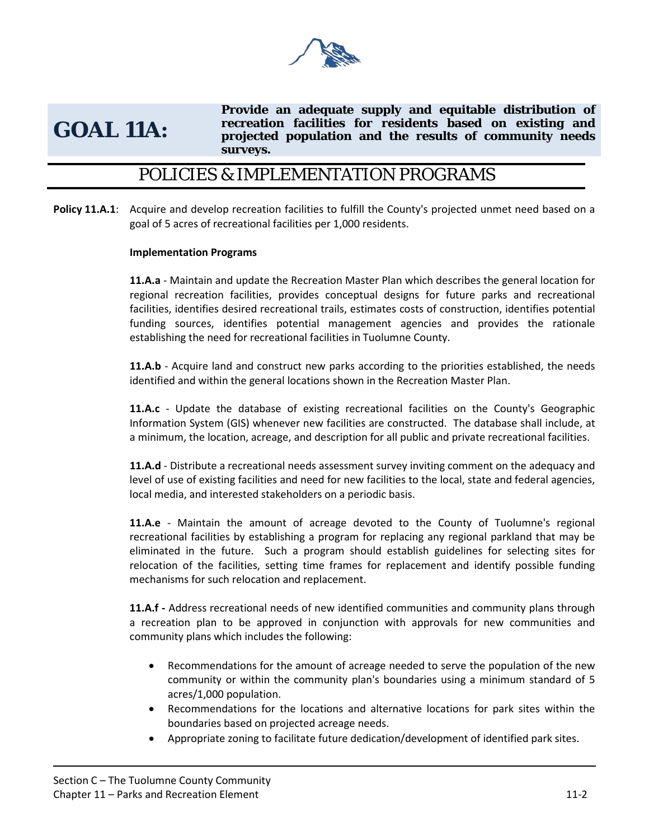

## **GOAL 11A:**

**Provide an adequate supply and equitable distribution of recreation facilities for residents based on existing and projected population and the results of community needs surveys.**

#### POLICIES & IMPLEMENTATION PROGRAMS

**Policy 11.A.1**: Acquire and develop recreation facilities to fulfill the County's projected unmet need based on a goal of 5 acres of recreational facilities per 1,000 residents.

#### **Implementation Programs**

**11.A.a** - Maintain and update the Recreation Master Plan which describes the general location for regional recreation facilities, provides conceptual designs for future parks and recreational facilities, identifies desired recreational trails, estimates costs of construction, identifies potential funding sources, identifies potential management agencies and provides the rationale establishing the need for recreational facilities in Tuolumne County.

**11.A.b** - Acquire land and construct new parks according to the priorities established, the needs identified and within the general locations shown in the Recreation Master Plan.

**11.A.c** - Update the database of existing recreational facilities on the County's Geographic Information System (GIS) whenever new facilities are constructed. The database shall include, at a minimum, the location, acreage, and description for all public and private recreational facilities.

**11.A.d** - Distribute a recreational needs assessment survey inviting comment on the adequacy and level of use of existing facilities and need for new facilities to the local, state and federal agencies, local media, and interested stakeholders on a periodic basis.

**11.A.e** - Maintain the amount of acreage devoted to the County of Tuolumne's regional recreational facilities by establishing a program for replacing any regional parkland that may be eliminated in the future. Such a program should establish guidelines for selecting sites for relocation of the facilities, setting time frames for replacement and identify possible funding mechanisms for such relocation and replacement.

**11.A.f -** Address recreational needs of new identified communities and community plans through a recreation plan to be approved in conjunction with approvals for new communities and community plans which includes the following:

- Recommendations for the amount of acreage needed to serve the population of the new community or within the community plan's boundaries using a minimum standard of 5 acres/1,000 population.
- Recommendations for the locations and alternative locations for park sites within the boundaries based on projected acreage needs.
- Appropriate zoning to facilitate future dedication/development of identified park sites.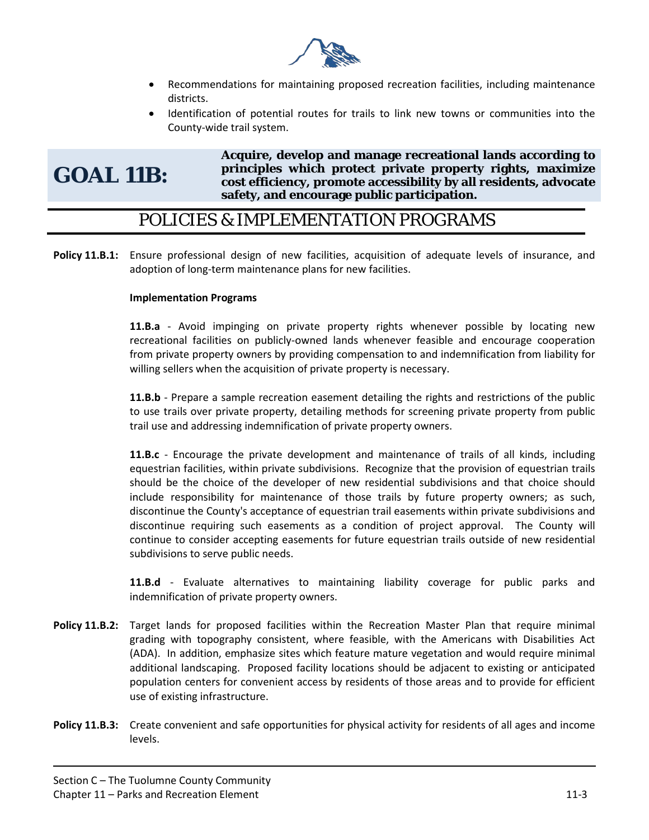

- Recommendations for maintaining proposed recreation facilities, including maintenance districts.
- Identification of potential routes for trails to link new towns or communities into the County-wide trail system.

## **GOAL 11B:**

**Acquire, develop and manage recreational lands according to principles which protect private property rights, maximize cost efficiency, promote accessibility by all residents, advocate safety, and encourage public participation.** 

#### POLICIES & IMPLEMENTATION PROGRAMS

**Policy 11.B.1:** Ensure professional design of new facilities, acquisition of adequate levels of insurance, and adoption of long-term maintenance plans for new facilities.

#### **Implementation Programs**

**11.B.a** - Avoid impinging on private property rights whenever possible by locating new recreational facilities on publicly-owned lands whenever feasible and encourage cooperation from private property owners by providing compensation to and indemnification from liability for willing sellers when the acquisition of private property is necessary.

**11.B.b** - Prepare a sample recreation easement detailing the rights and restrictions of the public to use trails over private property, detailing methods for screening private property from public trail use and addressing indemnification of private property owners.

**11.B.c** - Encourage the private development and maintenance of trails of all kinds, including equestrian facilities, within private subdivisions. Recognize that the provision of equestrian trails should be the choice of the developer of new residential subdivisions and that choice should include responsibility for maintenance of those trails by future property owners; as such, discontinue the County's acceptance of equestrian trail easements within private subdivisions and discontinue requiring such easements as a condition of project approval. The County will continue to consider accepting easements for future equestrian trails outside of new residential subdivisions to serve public needs.

**11.B.d** - Evaluate alternatives to maintaining liability coverage for public parks and indemnification of private property owners.

- **Policy 11.B.2:** Target lands for proposed facilities within the Recreation Master Plan that require minimal grading with topography consistent, where feasible, with the Americans with Disabilities Act (ADA). In addition, emphasize sites which feature mature vegetation and would require minimal additional landscaping. Proposed facility locations should be adjacent to existing or anticipated population centers for convenient access by residents of those areas and to provide for efficient use of existing infrastructure.
- **Policy 11.B.3:** Create convenient and safe opportunities for physical activity for residents of all ages and income levels.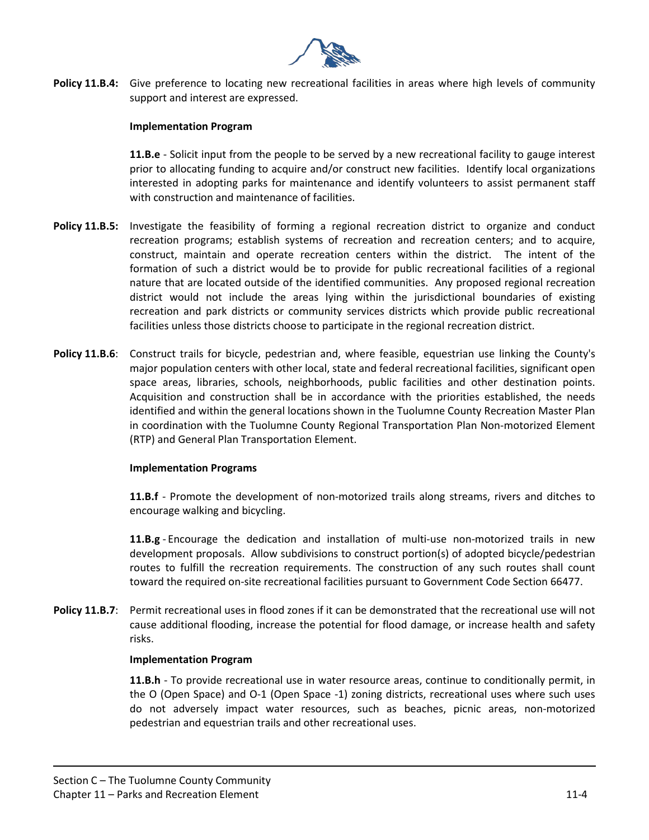

**Policy 11.B.4:** Give preference to locating new recreational facilities in areas where high levels of community support and interest are expressed.

#### **Implementation Program**

**11.B.e** - Solicit input from the people to be served by a new recreational facility to gauge interest prior to allocating funding to acquire and/or construct new facilities. Identify local organizations interested in adopting parks for maintenance and identify volunteers to assist permanent staff with construction and maintenance of facilities.

- **Policy 11.B.5:** Investigate the feasibility of forming a regional recreation district to organize and conduct recreation programs; establish systems of recreation and recreation centers; and to acquire, construct, maintain and operate recreation centers within the district. The intent of the formation of such a district would be to provide for public recreational facilities of a regional nature that are located outside of the identified communities. Any proposed regional recreation district would not include the areas lying within the jurisdictional boundaries of existing recreation and park districts or community services districts which provide public recreational facilities unless those districts choose to participate in the regional recreation district.
- **Policy 11.B.6**: Construct trails for bicycle, pedestrian and, where feasible, equestrian use linking the County's major population centers with other local, state and federal recreational facilities, significant open space areas, libraries, schools, neighborhoods, public facilities and other destination points. Acquisition and construction shall be in accordance with the priorities established, the needs identified and within the general locations shown in the Tuolumne County Recreation Master Plan in coordination with the Tuolumne County Regional Transportation Plan Non-motorized Element (RTP) and General Plan Transportation Element.

#### **Implementation Programs**

**11.B.f** - Promote the development of non-motorized trails along streams, rivers and ditches to encourage walking and bicycling.

**11.B.g** - Encourage the dedication and installation of multi-use non-motorized trails in new development proposals. Allow subdivisions to construct portion(s) of adopted bicycle/pedestrian routes to fulfill the recreation requirements. The construction of any such routes shall count toward the required on-site recreational facilities pursuant to Government Code Section 66477.

**Policy 11.B.7**: Permit recreational uses in flood zones if it can be demonstrated that the recreational use will not cause additional flooding, increase the potential for flood damage, or increase health and safety risks.

#### **Implementation Program**

**11.B.h** - To provide recreational use in water resource areas, continue to conditionally permit, in the O (Open Space) and O-1 (Open Space -1) zoning districts, recreational uses where such uses do not adversely impact water resources, such as beaches, picnic areas, non-motorized pedestrian and equestrian trails and other recreational uses.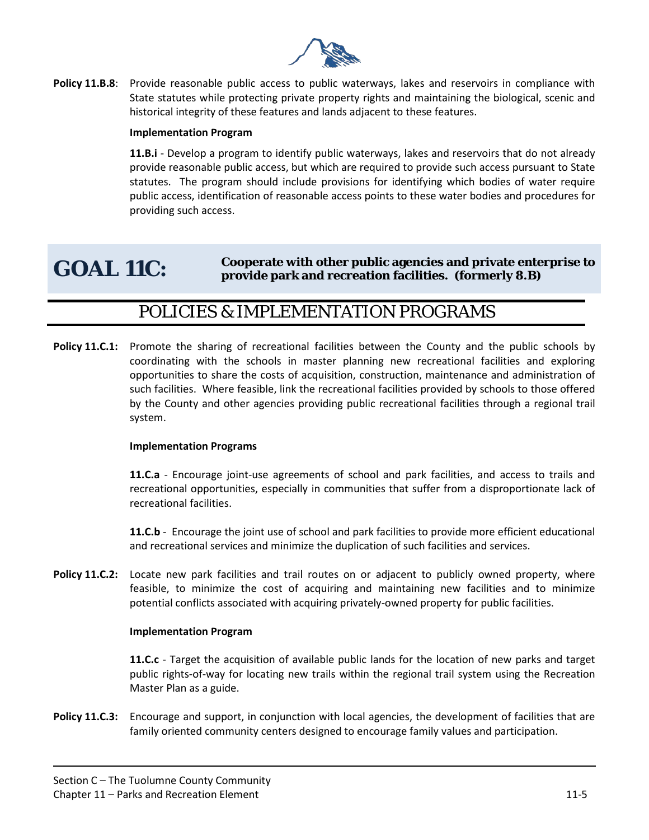

**Policy 11.B.8:** Provide reasonable public access to public waterways, lakes and reservoirs in compliance with State statutes while protecting private property rights and maintaining the biological, scenic and historical integrity of these features and lands adjacent to these features.

#### **Implementation Program**

**11.B.i** - Develop a program to identify public waterways, lakes and reservoirs that do not already provide reasonable public access, but which are required to provide such access pursuant to State statutes. The program should include provisions for identifying which bodies of water require public access, identification of reasonable access points to these water bodies and procedures for providing such access.

#### **GOAL 11C: Cooperate with other public agencies and private enterprise to provide park and recreation facilities. (formerly 8.B)**

#### POLICIES & IMPLEMENTATION PROGRAMS

**Policy 11.C.1:** Promote the sharing of recreational facilities between the County and the public schools by coordinating with the schools in master planning new recreational facilities and exploring opportunities to share the costs of acquisition, construction, maintenance and administration of such facilities. Where feasible, link the recreational facilities provided by schools to those offered by the County and other agencies providing public recreational facilities through a regional trail system.

#### **Implementation Programs**

**11.C.a** - Encourage joint-use agreements of school and park facilities, and access to trails and recreational opportunities, especially in communities that suffer from a disproportionate lack of recreational facilities.

**11.C.b** - Encourage the joint use of school and park facilities to provide more efficient educational and recreational services and minimize the duplication of such facilities and services.

**Policy 11.C.2:** Locate new park facilities and trail routes on or adjacent to publicly owned property, where feasible, to minimize the cost of acquiring and maintaining new facilities and to minimize potential conflicts associated with acquiring privately-owned property for public facilities.

#### **Implementation Program**

**11.C.c** - Target the acquisition of available public lands for the location of new parks and target public rights-of-way for locating new trails within the regional trail system using the Recreation Master Plan as a guide.

**Policy 11.C.3:** Encourage and support, in conjunction with local agencies, the development of facilities that are family oriented community centers designed to encourage family values and participation.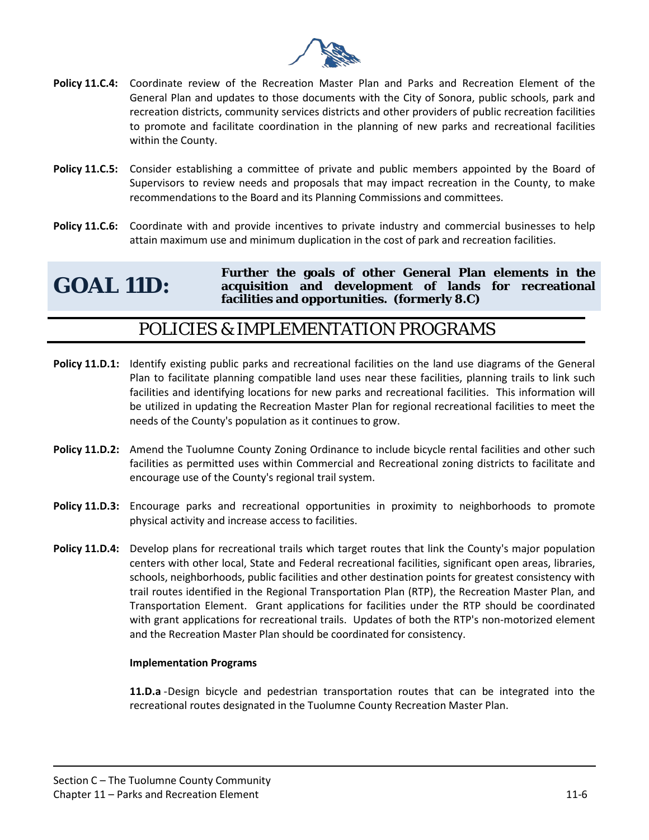

- **Policy 11.C.4:** Coordinate review of the Recreation Master Plan and Parks and Recreation Element of the General Plan and updates to those documents with the City of Sonora, public schools, park and recreation districts, community services districts and other providers of public recreation facilities to promote and facilitate coordination in the planning of new parks and recreational facilities within the County.
- **Policy 11.C.5:** Consider establishing a committee of private and public members appointed by the Board of Supervisors to review needs and proposals that may impact recreation in the County, to make recommendations to the Board and its Planning Commissions and committees.
- **Policy 11.C.6:** Coordinate with and provide incentives to private industry and commercial businesses to help attain maximum use and minimum duplication in the cost of park and recreation facilities.

#### **GOAL 11D: Further the goals of other General Plan elements in the acquisition and development of lands for recreational facilities and opportunities. (formerly 8.C)**

#### POLICIES & IMPLEMENTATION PROGRAMS

- **Policy 11.D.1:** Identify existing public parks and recreational facilities on the land use diagrams of the General Plan to facilitate planning compatible land uses near these facilities, planning trails to link such facilities and identifying locations for new parks and recreational facilities. This information will be utilized in updating the Recreation Master Plan for regional recreational facilities to meet the needs of the County's population as it continues to grow.
- **Policy 11.D.2:** Amend the Tuolumne County Zoning Ordinance to include bicycle rental facilities and other such facilities as permitted uses within Commercial and Recreational zoning districts to facilitate and encourage use of the County's regional trail system.
- **Policy 11.D.3:** Encourage parks and recreational opportunities in proximity to neighborhoods to promote physical activity and increase access to facilities.
- **Policy 11.D.4:** Develop plans for recreational trails which target routes that link the County's major population centers with other local, State and Federal recreational facilities, significant open areas, libraries, schools, neighborhoods, public facilities and other destination points for greatest consistency with trail routes identified in the Regional Transportation Plan (RTP), the Recreation Master Plan, and Transportation Element. Grant applications for facilities under the RTP should be coordinated with grant applications for recreational trails. Updates of both the RTP's non-motorized element and the Recreation Master Plan should be coordinated for consistency.

#### **Implementation Programs**

**11.D.a** -Design bicycle and pedestrian transportation routes that can be integrated into the recreational routes designated in the Tuolumne County Recreation Master Plan.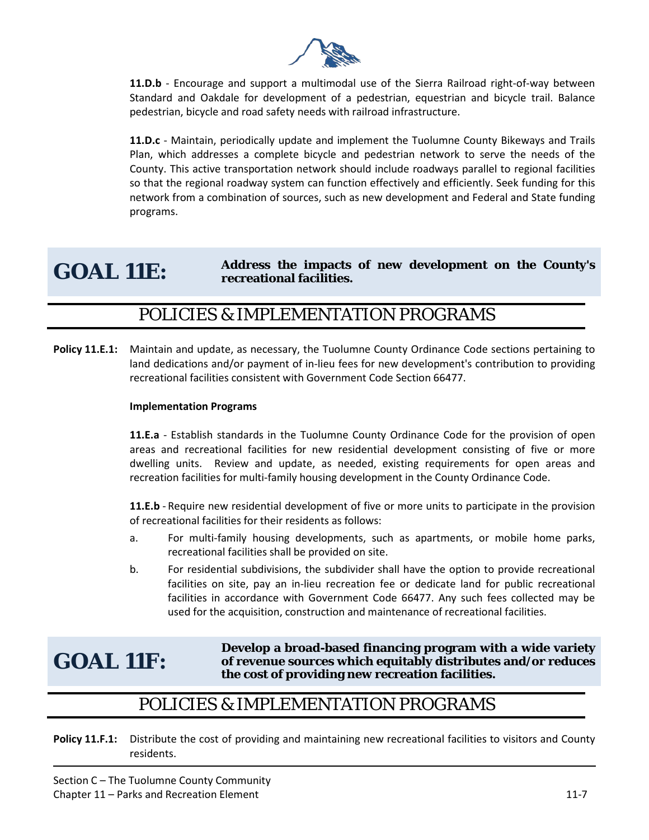

**11.D.b** - Encourage and support a multimodal use of the Sierra Railroad right-of-way between Standard and Oakdale for development of a pedestrian, equestrian and bicycle trail. Balance pedestrian, bicycle and road safety needs with railroad infrastructure.

**11.D.c** - Maintain, periodically update and implement the Tuolumne County Bikeways and Trails Plan, which addresses a complete bicycle and pedestrian network to serve the needs of the County. This active transportation network should include roadways parallel to regional facilities so that the regional roadway system can function effectively and efficiently. Seek funding for this network from a combination of sources, such as new development and Federal and State funding programs.

#### **GOAL 11E: Address the impacts of new development on the County's recreational facilities.**

#### POLICIES & IMPLEMENTATION PROGRAMS

**Policy 11.E.1:** Maintain and update, as necessary, the Tuolumne County Ordinance Code sections pertaining to land dedications and/or payment of in-lieu fees for new development's contribution to providing recreational facilities consistent with Government Code Section 66477.

#### **Implementation Programs**

**11.E.a** - Establish standards in the Tuolumne County Ordinance Code for the provision of open areas and recreational facilities for new residential development consisting of five or more dwelling units. Review and update, as needed, existing requirements for open areas and recreation facilities for multi-family housing development in the County Ordinance Code.

**11.E.b** - Require new residential development of five or more units to participate in the provision of recreational facilities for their residents as follows:

- a. For multi-family housing developments, such as apartments, or mobile home parks, recreational facilities shall be provided on site.
- b. For residential subdivisions, the subdivider shall have the option to provide recreational facilities on site, pay an in-lieu recreation fee or dedicate land for public recreational facilities in accordance with Government Code 66477. Any such fees collected may be used for the acquisition, construction and maintenance of recreational facilities.

## **GOAL 11F:**

**Develop a broad-based financing program with a wide variety of revenue sources which equitably distributes and/or reduces the cost of providing new recreation facilities.**

#### POLICIES & IMPLEMENTATION PROGRAMS

**Policy 11.F.1:** Distribute the cost of providing and maintaining new recreational facilities to visitors and County residents.